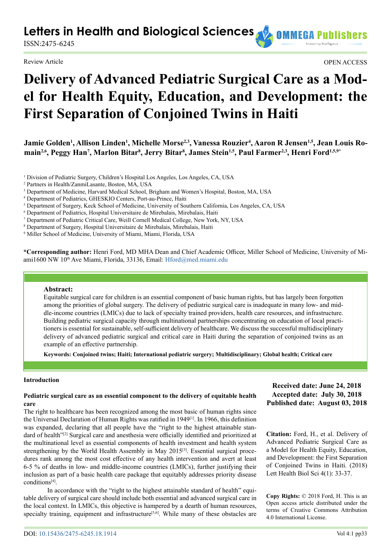**Letters in Health and Biological Sciences AD OMMEGA P** 

ISSN:2475-6245

Review Article OPEN ACCESS

# **Delivery of Advanced Pediatric Surgical Care as a Model for Health Equity, Education, and Development: the First Separation of Conjoined Twins in Haiti**

Jamie Golden<sup>1</sup>, Allison Linden<sup>1</sup>, Michelle Morse<sup>2,3</sup>, Vanessa Rouzier<sup>4</sup>, Aaron R Jensen<sup>1,5</sup>, Jean Louis Ro**main2,6, Peggy Han7 , Marlon Bitar8 , Jerry Bitar8 , James Stein1,5, Paul Farmer2,3, Henri Ford1,5,9\***

- <sup>1</sup> Division of Pediatric Surgery, Children's Hospital Los Angeles, Los Angeles, CA, USA
- 2 Partners in Health/ZanmiLasante, Boston, MA, USA
- 3 Department of Medicine, Harvard Medical School, Brigham and Women's Hospital, Boston, MA, USA
- 4 Department of Pediatrics, GHESKIO Centers, Port-au-Prince, Haiti
- 5 Department of Surgery, Keck School of Medicine, University of Southern California, Los Angeles, CA, USA
- <sup>6</sup> Department of Pediatrics, Hospital Universitaire de Mirebalais, Mirebalais, Haiti
- 7 Department of Pediatric Critical Care, Weill Cornell Medical College, New York, NY, USA
- 8 Department of Surgery, Hospital Universitaire de Mirebalais, Mirebalais, Haiti
- 9 Miller School of Medicine, University of Miami, Miami, Florida, USA

**\*Corresponding author:** Henri Ford, MD MHA Dean and Chief Academic Officer, Miller School of Medicine, University of Mi-ami1600 NW 10<sup>th</sup> Ave Miami, Florida, 33136, Email: [Hford@med.miami.edu](mailto:Hford%40med.miami.edu?subject=)

### **Abstract:**

Equitable surgical care for children is an essential component of basic human rights, but has largely been forgotten among the priorities of global surgery. The delivery of pediatric surgical care is inadequate in many low- and middle-income countries (LMICs) due to lack of specialty trained providers, health care resources, and infrastructure. Building pediatric surgical capacity through multinational partnerships concentrating on education of local practitioners is essential for sustainable, self-sufficient delivery of healthcare. We discuss the successful multidisciplinary delivery of advanced pediatric surgical and critical care in Haiti during the separation of conjoined twins as an example of an effective partnership.

**Keywords: Conjoined twins; Haiti; International pediatric surgery; Multidisciplinary; Global health; Critical care**

#### **Introduction**

## **Pediatric surgical care as an essential component to the delivery of equitable health care**

The right to healthcare has been recognized among the most basic of human rights since the Universal Declaration of Human Rights was ratified in 1949[\[1\]](#page-3-0). In 1966, this definition was expanded, declaring that all people have the "right to the highest attainable standard of health"<sup>[2]</sup> Surgical care and anesthesia were officially identified and prioritized at the multinational level as essential components of health investment and health system strengthening by the World Health Assembly in May 2015<sup>[\[3\]](#page-4-0)</sup>. Essential surgical procedures rank among the most cost effective of any health intervention and avert at least 6-5 % of deaths in low- and middle-income countries (LMICs), further justifying their inclusion as part of a basic health care package that equitably addresses priority disease conditions[\[4\]](#page-4-1).

In accordance with the "right to the highest attainable standard of health" equitable delivery of surgical care should include both essential and advanced surgical care in the local context. In LMICs, this objective is hampered by a dearth of human resources, specialty training, equipment and infrastructure<sup>[5,6]</sup>. While many of these obstacles are

# **Received date: June 24, 2018 Accepted date: July 30, 2018 Published date: August 03, 2018**

**Citation:** Ford, H., et al. Delivery of Advanced Pediatric Surgical Care as a Model for Health Equity, Education, and Development: the First Separation of Conjoined Twins in Haiti. (2018) Lett Health Biol Sci 4(1): 33-37.

**Copy Rights:** © 2018 Ford, H. This is an Open access article distributed under the terms of Creative Commons Attribution 4.0 International License.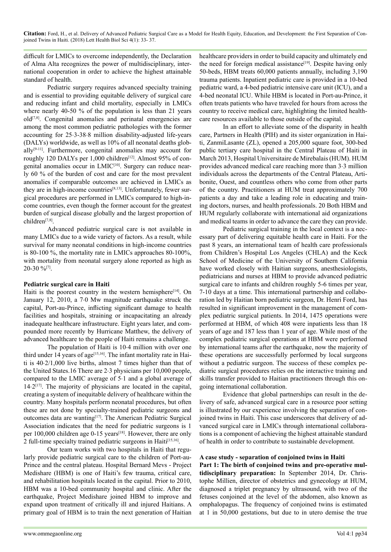**Citation:** Ford, H., et al. Delivery of Advanced Pediatric Surgical Care as a Model for Health Equity, Education, and Development: the First Separation of Conjoined Twins in Haiti. (2018) Lett Health Biol Sci 4(1): 33- 37.

difficult for LMICs to overcome independently, the Declaration of Alma Alta recognizes the power of multidisciplinary, international cooperation in order to achieve the highest attainable standard of health.

Pediatric surgery requires advanced specialty training and is essential to providing equitable delivery of surgical care and reducing infant and child mortality, especially in LMICs where nearly 40-50 % of the population is less than 21 years old[\[7,8\].](#page-4-3) Congenital anomalies and perinatal emergencies are among the most common pediatric pathologies with the former accounting for 25.3-38.8 million disability-adjusted life-years (DALYs) worldwide, as well as 10% of all neonatal deaths glob-ally<sup>[\[9-11\]](#page-4-4)</sup>. Furthermore, congenital anomalies may account for roughly 120 DALYs per 1,000 children<sup>[12]</sup>. Almost 95% of congenital anomalies occur in LMIC<sup>[10]</sup>. Surgery can reduce nearly 60 % of the burden of cost and care for the most prevalent anomalies if comparable outcomes are achieved in LMICs as they are in high-income countries<sup>[8,13]</sup>. Unfortunately, fewer surgical procedures are performed in LMICs compared to high-income countries, even though the former account for the greatest burden of surgical disease globally and the largest proportion of children[\[7,8\].](#page-4-3)

Advanced pediatric surgical care is not available in many LMICs due to a wide variety of factors. As a result, while survival for many neonatal conditions in high-income countries is 80-100 %, the mortality rate in LMICs approaches 80-100%, with mortality from neonatal surgery alone reported as high as 20-30 [%\[7\].](#page-4-3)

## **Pediatric surgical care in Haiti**

Haiti is the poorest country in the western hemisphere<sup>[14]</sup>. On January 12, 2010, a 7.0 Mw magnitude earthquake struck the capital, Port-au-Prince, inflicting significant damage to health facilities and hospitals, straining or incapacitating an already inadequate healthcare infrastructure. Eight years later, and compounded more recently by Hurricane Matthew, the delivery of advanced healthcare to the people of Haiti remains a challenge.

The population of Haiti is 10.4 million with over one third under 14 years of age<sup>[15,16]</sup>. The infant mortality rate in Haiti is 402/1,000 live births, almost 7 times higher than that of the United States.16 There are  $2.3$  physicians per  $10,000$  people, compared to the LMIC average of 5.1 and a global average of  $14.2$ <sup>[\[17\]](#page-4-10)</sup>. The majority of physicians are located in the capital, creating a system of inequitable delivery of healthcare within the country. Many hospitals perform neonatal procedures, but often these are not done by specialty-trained pediatric surgeons and outcomes data are wantin[g\[17\]](#page-4-10). The American Pediatric Surgical Association indicates that the need for pediatric surgeons is 1 per 100,000 children age 0-15 years<sup>[18]</sup>. However, there are only 2 full-time specialty trained pediatric surgeons in Haiti[\[15,16\].](#page-4-9)

Our team works with two hospitals in Haiti that regularly provide pediatric surgical care to the children of Port-au-Prince and the central plateau. Hospital Bernard Mevs - Project Medishare (HBM) is one of Haiti's few trauma, critical care, and rehabilitation hospitals located in the capital. Prior to 2010, HBM was a 10-bed community hospital and clinic. After the earthquake, Project Medishare joined HBM to improve and expand upon treatment of critically ill and injured Haitians. A primary goal of HBM is to train the next generation of Haitian

healthcare providers in order to build capacity and ultimately end the need for foreign medical assistance<sup>[19]</sup>. Despite having only 50-beds, HBM treats 60,000 patients annually, including 3,190 trauma patients. Inpatient pediatric care is provided in a 10-bed pediatric ward, a 4-bed pediatric intensive care unit (ICU), and a 4-bed neonatal ICU. While HBM is located in Port-au-Prince, it often treats patients who have traveled for hours from across the country to receive medical care, highlighting the limited healthcare resources available to those outside of the capital.

In an effort to alleviate some of the disparity in health care, Partners in Health (PIH) and its sister organization in Haiti, ZanmiLasante (ZL), opened a 205,000 square foot, 300-bed public tertiary care hospital in the Central Plateau of Haiti in March 2013, Hospital Universitaire de Mirebalais (HUM). HUM provides advanced medical care reaching more than 3.3 million individuals across the departments of the Central Plateau, Artibonite, Ouest, and countless others who come from other parts of the country. Practitioners at HUM treat approximately 700 patients a day and take a leading role in educating and training doctors, nurses, and health professionals. 20 Both HBM and HUM regularly collaborate with international aid organizations and medical teams in order to advance the care they can provide.

Pediatric surgical training in the local context is a necessary part of delivering equitable health care in Haiti. For the past 8 years, an international team of health care professionals from Children's Hospital Los Angeles (CHLA) and the Keck School of Medicine of the University of Southern California have worked closely with Haitian surgeons, anesthesiologists, pediatricians and nurses at HBM to provide advanced pediatric surgical care to infants and children roughly 5-6 times per year, 7-10 days at a time. This international partnership and collaboration led by Haitian born pediatric surgeon, Dr. Henri Ford, has resulted in significant improvement in the management of complex pediatric surgical patients. In 2014, 1475 operations were performed at HBM, of which 408 were inpatients less than 18 years of age and 187 less than 1 year of age. While most of the complex pediatric surgical operations at HBM were performed by international teams after the earthquake, now the majority of these operations are successfully performed by local surgeons without a pediatric surgeon. The success of these complex pediatric surgical procedures relies on the interactive training and skills transfer provided to Haitian practitioners through this ongoing international collaboration.

Evidence that global partnerships can result in the delivery of safe, advanced surgical care in a resource poor setting is illustrated by our experience involving the separation of conjoined twins in Haiti. This case underscores that delivery of advanced surgical care in LMICs through international collaborations is a component of achieving the highest attainable standard of health in order to contribute to sustainable development.

## **A case study - separation of conjoined twins in Haiti**

**Part 1: The birth of conjoined twins and pre-operative multidisciplinary preparation:** In September 2014, Dr. Christophe Millien, director of obstetrics and gynecology at HUM, diagnosed a triplet pregnancy by ultrasound, with two of the fetuses conjoined at the level of the abdomen, also known as omphalopagus. The frequency of conjoined twins is estimated at 1 in 50,000 gestations, but due to in utero demise the true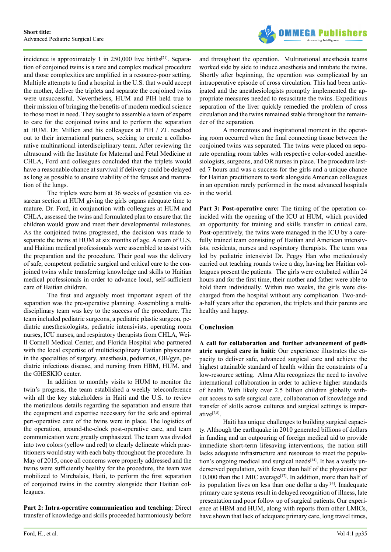

incidence is approximately 1 in  $250,000$  live births<sup>[\[21\]](#page-4-13)</sup>. Separation of conjoined twins is a rare and complex medical procedure and those complexities are amplified in a resource-poor setting. Multiple attempts to find a hospital in the U.S. that would accept the mother, deliver the triplets and separate the conjoined twins were unsuccessful. Nevertheless, HUM and PIH held true to their mission of bringing the benefits of modern medical science to those most in need. They sought to assemble a team of experts to care for the conjoined twins and to perform the separation at HUM. Dr. Millien and his colleagues at PIH / ZL reached out to their international partners, seeking to create a collaborative multinational interdisciplinary team. After reviewing the ultrasound with the Institute for Maternal and Fetal Medicine at CHLA, Ford and colleagues concluded that the triplets would have a reasonable chance at survival if delivery could be delayed as long as possible to ensure viability of the fetuses and maturation of the lungs.

The triplets were born at 36 weeks of gestation via cesarean section at HUM giving the girls organs adequate time to mature. Dr. Ford, in conjunction with colleagues at HUM and CHLA, assessed the twins and formulated plan to ensure that the children would grow and meet their developmental milestones. As the conjoined twins progressed, the decision was made to separate the twins at HUM at six months of age. A team of U.S. and Haitian medical professionals were assembled to assist with the preparation and the procedure. Their goal was the delivery of safe, competent pediatric surgical and critical care to the conjoined twins while transferring knowledge and skills to Haitian medical professionals in order to advance local, self-sufficient care of Haitian children.

The first and arguably most important aspect of the separation was the pre-operative planning. Assembling a multidisciplinary team was key to the success of the procedure. The team included pediatric surgeons, a pediatric plastic surgeon, pediatric anesthesiologists, pediatric intensivists, operating room nurses, ICU nurses, and respiratory therapists from CHLA, Weill Cornell Medical Center, and Florida Hospital who partnered with the local expertise of multidisciplinary Haitian physicians in the specialties of surgery, anesthesia, pediatrics, OB/gyn, pediatric infectious disease, and nursing from HBM, HUM, and the GHESKIO center.

In addition to monthly visits to HUM to monitor the twin's progress, the team established a weekly teleconference with all the key stakeholders in Haiti and the U.S. to review the meticulous details regarding the separation and ensure that the equipment and expertise necessary for the safe and optimal peri-operative care of the twins were in place. The logistics of the operation, around-the-clock post-operative care, and team communication were greatly emphasized. The team was divided into two colors (yellow and red) to clearly delineate which practitioners would stay with each baby throughout the procedure. In May of 2015, once all concerns were properly addressed and the twins were sufficiently healthy for the procedure, the team was mobilized to Mirebalais, Haiti, to perform the first separation of conjoined twins in the country alongside their Haitian colleagues.

**Part 2: Intra-operative communication and teaching**: Direct transfer of knowledge and skills proceeded harmoniously before

and throughout the operation. Multinational anesthesia teams worked side by side to induce anesthesia and intubate the twins. Shortly after beginning, the operation was complicated by an intraoperative episode of cross circulation. This had been anticipated and the anesthesiologists promptly implemented the appropriate measures needed to resuscitate the twins. Expeditious separation of the liver quickly remedied the problem of cross circulation and the twins remained stable throughout the remainder of the separation.

A momentous and inspirational moment in the operating room occurred when the final connecting tissue between the conjoined twins was separated. The twins were placed on separate operating room tables with respective color-coded anesthesiologists, surgeons, and OR nurses in place. The procedure lasted 7 hours and was a success for the girls and a unique chance for Haitian practitioners to work alongside American colleagues in an operation rarely performed in the most advanced hospitals in the world.

**Part 3: Post-operative care:** The timing of the operation coincided with the opening of the ICU at HUM, which provided an opportunity for training and skills transfer in critical care. Post-operatively, the twins were managed in the ICU by a carefully trained team consisting of Haitian and American intensivists, residents, nurses and respiratory therapists. The team was led by pediatric intensivist Dr. Peggy Han who meticulously carried out teaching rounds twice a day, having her Haitian colleagues present the patients. The girls were extubated within 24 hours and for the first time, their mother and father were able to hold them individually. Within two weeks, the girls were discharged from the hospital without any complication. Two-anda-half years after the operation, the triplets and their parents are healthy and happy.

# **Conclusion**

**A call for collaboration and further advancement of pediatric surgical care in haiti:** Our experience illustrates the capacity to deliver safe, advanced surgical care and achieve the highest attainable standard of health within the constraints of a low-resource setting. Alma Alta recognizes the need to involve international collaboration in order to achieve higher standards of health. With likely over 2.5 billion children globally without access to safe surgical care, collaboration of knowledge and transfer of skills across cultures and surgical settings is imperativ[e\[7,8\]](#page-4-3).

Haiti has unique challenges to building surgical capacity. Although the earthquake in 2010 generated billions of dollars in funding and an outpouring of foreign medical aid to provide immediate short-term lifesaving interventions, the nation still lacks adequate infrastructure and resources to meet the population's ongoing medical and surgical needs $[14]$ . It has a vastly underserved population, with fewer than half of the physicians per 10,000 than the LMIC average<sup>[\[17\]](#page-4-10)</sup>. In addition, more than half of its population lives on less than one dollar a day<sup>[14]</sup>. Inadequate primary care systems result in delayed recognition of illness, late presentation and poor follow up of surgical patients. Our experience at HBM and HUM, along with reports from other LMICs, have shown that lack of adequate primary care, long travel times,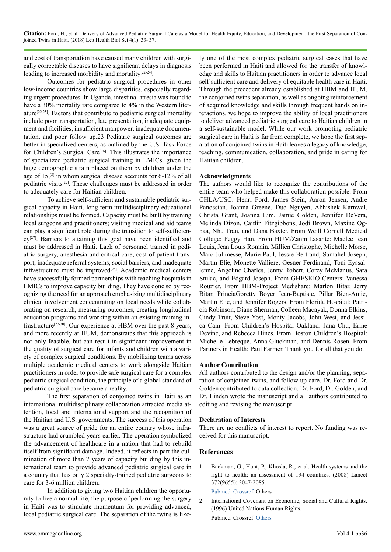**Citation:** Ford, H., et al. Delivery of Advanced Pediatric Surgical Care as a Model for Health Equity, Education, and Development: the First Separation of Conjoined Twins in Haiti. (2018) Lett Health Biol Sci 4(1): 33- 37.

and cost of transportation have caused many children with surgically correctable diseases to have significant delays in diagnosis leading to increased morbidity and mortalit[y\[22-24\]](#page-4-14).

Outcomes for pediatric surgical procedures in other low-income countries show large disparities, especially regarding urgent procedures. In Uganda, intestinal atresia was found to have a 30% mortality rate compared to 4% in the Western literature<sup>[22,25]</sup>. Factors that contribute to pediatric surgical mortality include poor transportation, late presentation, inadequate equipment and facilities, insufficient manpower, inadequate documentation, and poor follow up.23 Pediatric surgical outcomes are better in specialized centers, as outlined by the U.S. Task Force for Children's Surgical Care<sup>[26]</sup>. This illustrates the importance of specialized pediatric surgical training in LMICs, given the huge demographic strain placed on them by children under the age of  $15$ ,<sup>[8]</sup> in whom surgical disease accounts for 6-12% of all pediatric visit[s\[22\].](#page-4-14) These challenges must be addressed in order to adequately care for Haitian children.

To achieve self-sufficient and sustainable pediatric surgical capacity in Haiti, long-term multidisciplinary educational relationships must be formed. Capacity must be built by training local surgeons and practitioners; visiting medical and aid teams can play a significant role during the transition to self-sufficien $cv^{[27]}$ . Barriers to attaining this goal have been identified and must be addressed in Haiti. Lack of personnel trained in pediatric surgery, anesthesia and critical care, cost of patient transport, inadequate referral systems, social barriers, and inadequate infrastructure must be improved<sup>[28]</sup>. Academic medical centers have successfully formed partnerships with teaching hospitals in LMICs to improve capacity building. They have done so by recognizing the need for an approach emphasizing multidisciplinary clinical involvement concentrating on local needs while collaborating on research, measuring outcomes, creating longitudinal education programs and working within an existing training infrastructur[e\[27-30\].](#page-4-17) Our experience at HBM over the past 8 years, and more recently at HUM, demonstrates that this approach is not only feasible, but can result in significant improvement in the quality of surgical care for infants and children with a variety of complex surgical conditions. By mobilizing teams across multiple academic medical centers to work alongside Haitian practitioners in order to provide safe surgical care for a complex pediatric surgical condition, the principle of a global standard of pediatric surgical care became a reality.

The first separation of conjoined twins in Haiti as an international multidisciplinary collaboration attracted media attention, local and international support and the recognition of the Haitian and U.S. governments. The success of this operation was a great source of pride for an entire country whose infrastructure had crumbled years earlier. The operation symbolized the advancement of healthcare in a nation that had to rebuild itself from significant damage. Indeed, it reflects in part the culmination of more than 7 years of capacity building by this international team to provide advanced pediatric surgical care in a country that has only 2 specialty-trained pediatric surgeons to care for 3-6 million children.

In addition to giving two Haitian children the opportunity to live a normal life, the purpose of performing the surgery in Haiti was to stimulate momentum for providing advanced, local pediatric surgical care. The separation of the twins is likely one of the most complex pediatric surgical cases that have been performed in Haiti and allowed for the transfer of knowledge and skills to Haitian practitioners in order to advance local self-sufficient care and delivery of equitable health care in Haiti. Through the precedent already established at HBM and HUM, the conjoined twins separation, as well as ongoing reinforcement of acquired knowledge and skills through frequent hands on interactions, we hope to improve the ability of local practitioners to deliver advanced pediatric surgical care to Haitian children in a self-sustainable model. While our work promoting pediatric surgical care in Haiti is far from complete, we hope the first separation of conjoined twins in Haiti leaves a legacy of knowledge, teaching, communication, collaboration, and pride in caring for Haitian children.

## **Acknowledgments**

The authors would like to recognize the contributions of the entire team who helped make this collaboration possible. From CHLA/USC: Henri Ford, James Stein, Aaron Jensen, Andre Panossian, Joanna Greene, Duc Nguyen, Abhishek Karnwal, Christa Grant, Joanna Lim, Jamie Golden, Jennifer DeVera, Melinda Dizon, Caitlin Fitzgibbons, Jodi Brown, Maxine Ogbaa, Nhu Tran, and Dana Baxter. From Weill Cornell Medical College: Peggy Han. From HUM/ZanmiLasante: Maclee Jean Louis, Jean Louis Romain, Millien Christophe, Michelle Morse, Marc Julimesse, Marie Paul, Jessie Bertrand, Samahel Joseph, Martin Elie, Monette Valliere, Gesner Ferdinand, Toni Eyssallenne, Angeline Charles, Jenny Robert, Corey McManus, Sara Stulac, and Edgard Joseph. From GHESKIO Centers: Vanessa Rouzier. From HBM-Project Medishare: Marlon Bitar, Jerry Bitar, PrinciaGoretty Boyer Jean-Baptiste, Pillar Bien-Amie, Martin Elie, and Jennifer Rogers. From Florida Hospital: Patricia Robinson, Diane Sherman, Colleen Macayak, Donna Elkins, Cindy Truit, Steve Yost, Monty Jacobs, John West, and Jessica Cain. From Children's Hospital Oakland: Jana Chu, Erine Devine, and Rebecca Hines. From Boston Children's Hospital: Michelle Lebreque, Anna Gluckman, and Dennis Rosen. From Partners in Health: Paul Farmer. Thank you for all that you do.

## **Author Contribution**

All authors contributed to the design and/or the planning, separation of conjoined twins, and follow up care. Dr. Ford and Dr. Golden contributed to data collection. Dr. Ford, Dr. Golden, and Dr. Linden wrote the manuscript and all authors contributed to editing and revising the manuscript

## **Declaration of Interests**

There are no conflicts of interest to report. No funding was received for this manuscript.

## **References**

<span id="page-3-0"></span>1. Backman, G., Hunt, P., Khosla, R., et al. Health systems and the right to health: an assessment of 194 countries. (2008) Lancet 372(9655): 2047-2085.

<span id="page-3-1"></span>[Pubmed](https://www.ncbi.nlm.nih.gov/pubmed/19097280)| [Crossref|](https://doi.org/10.1016/S0140-6736(08)61781-X) Others

2. International Covenant on Economic, Social and Cultural Rights. (1996) United Nations Human Rights. Pubmed| Crossref| [Others](https://www.ohchr.org/en/professionalinterest/pages/cescr.aspx)